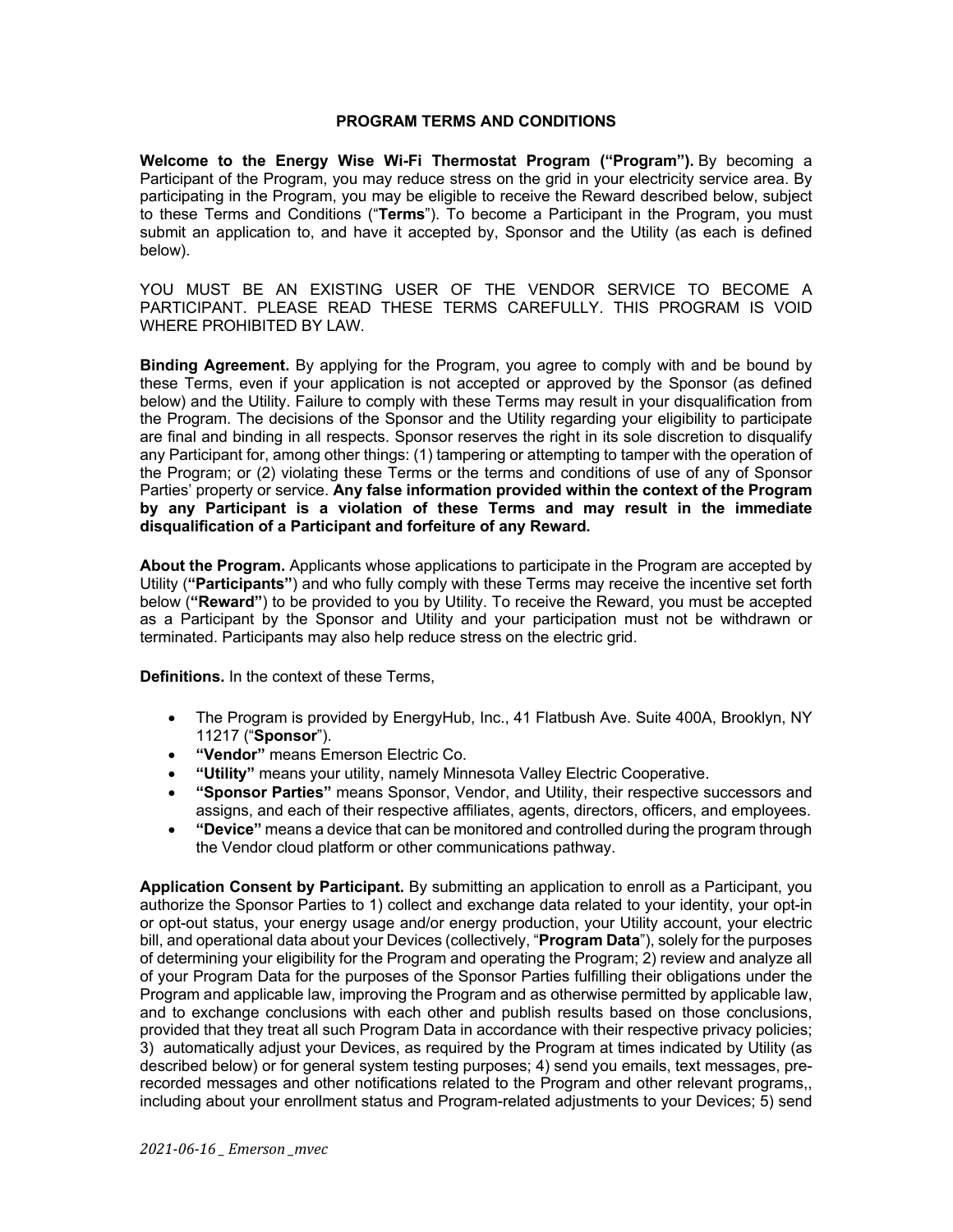## **PROGRAM TERMS AND CONDITIONS**

**Welcome to the Energy Wise Wi-Fi Thermostat Program ("Program").** By becoming a Participant of the Program, you may reduce stress on the grid in your electricity service area. By participating in the Program, you may be eligible to receive the Reward described below, subject to these Terms and Conditions ("**Terms**"). To become a Participant in the Program, you must submit an application to, and have it accepted by, Sponsor and the Utility (as each is defined below).

YOU MUST BE AN EXISTING USER OF THE VENDOR SERVICE TO BECOME A PARTICIPANT. PLEASE READ THESE TERMS CAREFULLY. THIS PROGRAM IS VOID WHERE PROHIBITED BY LAW.

**Binding Agreement.** By applying for the Program, you agree to comply with and be bound by these Terms, even if your application is not accepted or approved by the Sponsor (as defined below) and the Utility. Failure to comply with these Terms may result in your disqualification from the Program. The decisions of the Sponsor and the Utility regarding your eligibility to participate are final and binding in all respects. Sponsor reserves the right in its sole discretion to disqualify any Participant for, among other things: (1) tampering or attempting to tamper with the operation of the Program; or (2) violating these Terms or the terms and conditions of use of any of Sponsor Parties' property or service. **Any false information provided within the context of the Program by any Participant is a violation of these Terms and may result in the immediate disqualification of a Participant and forfeiture of any Reward.**

**About the Program.** Applicants whose applications to participate in the Program are accepted by Utility (**"Participants"**) and who fully comply with these Terms may receive the incentive set forth below (**"Reward"**) to be provided to you by Utility. To receive the Reward, you must be accepted as a Participant by the Sponsor and Utility and your participation must not be withdrawn or terminated. Participants may also help reduce stress on the electric grid.

**Definitions.** In the context of these Terms,

- The Program is provided by EnergyHub, Inc., 41 Flatbush Ave. Suite 400A, Brooklyn, NY 11217 ("**Sponsor**").
- **"Vendor"** means Emerson Electric Co.
- **"Utility"** means your utility, namely Minnesota Valley Electric Cooperative.
- **"Sponsor Parties"** means Sponsor, Vendor, and Utility, their respective successors and assigns, and each of their respective affiliates, agents, directors, officers, and employees.
- **"Device"** means a device that can be monitored and controlled during the program through the Vendor cloud platform or other communications pathway.

**Application Consent by Participant.** By submitting an application to enroll as a Participant, you authorize the Sponsor Parties to 1) collect and exchange data related to your identity, your opt-in or opt-out status, your energy usage and/or energy production, your Utility account, your electric bill, and operational data about your Devices (collectively, "**Program Data**"), solely for the purposes of determining your eligibility for the Program and operating the Program; 2) review and analyze all of your Program Data for the purposes of the Sponsor Parties fulfilling their obligations under the Program and applicable law, improving the Program and as otherwise permitted by applicable law, and to exchange conclusions with each other and publish results based on those conclusions, provided that they treat all such Program Data in accordance with their respective privacy policies; 3) automatically adjust your Devices, as required by the Program at times indicated by Utility (as described below) or for general system testing purposes; 4) send you emails, text messages, prerecorded messages and other notifications related to the Program and other relevant programs,, including about your enrollment status and Program-related adjustments to your Devices; 5) send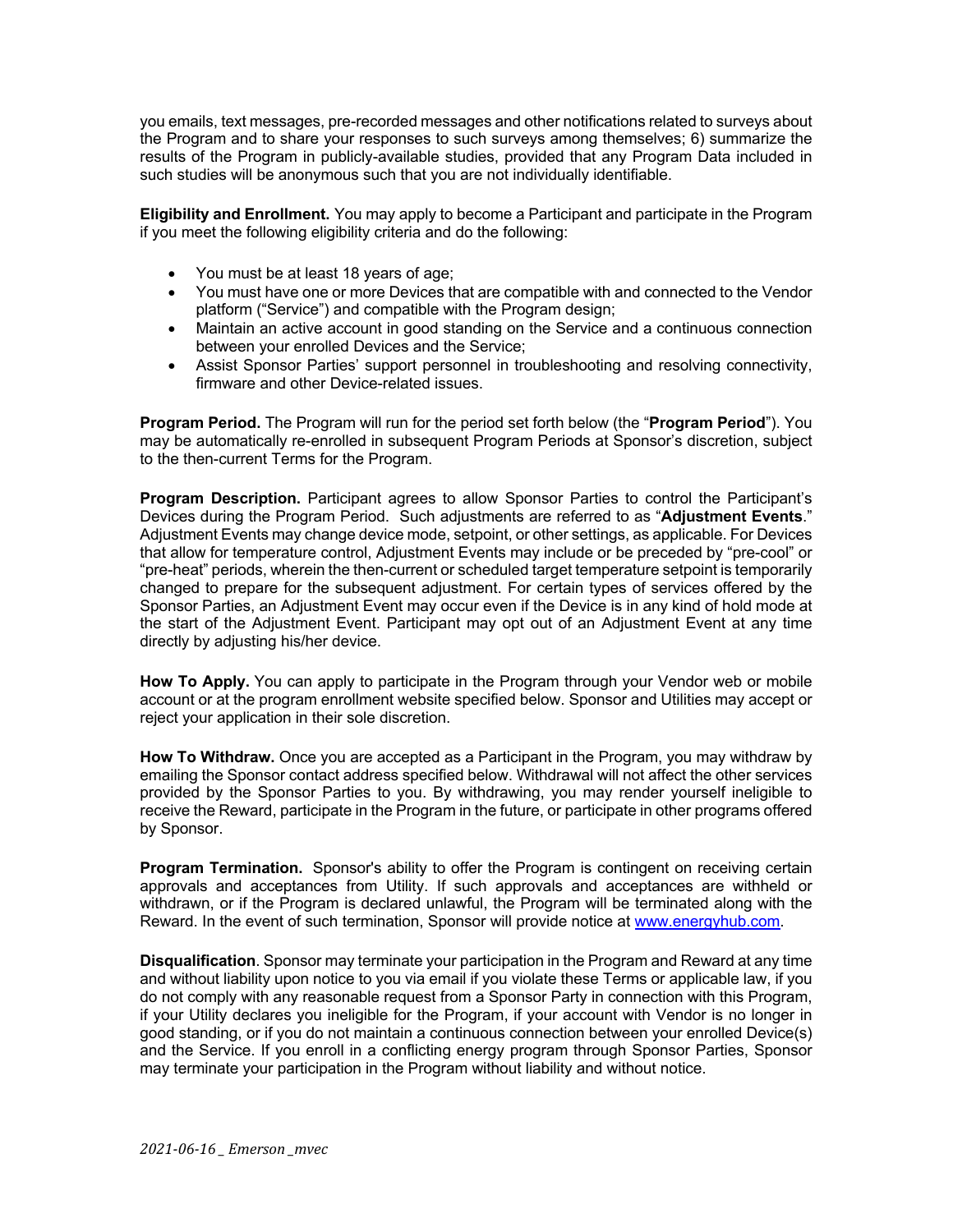you emails, text messages, pre-recorded messages and other notifications related to surveys about the Program and to share your responses to such surveys among themselves; 6) summarize the results of the Program in publicly-available studies, provided that any Program Data included in such studies will be anonymous such that you are not individually identifiable.

**Eligibility and Enrollment.** You may apply to become a Participant and participate in the Program if you meet the following eligibility criteria and do the following:

- You must be at least 18 years of age;
- You must have one or more Devices that are compatible with and connected to the Vendor platform ("Service") and compatible with the Program design;
- Maintain an active account in good standing on the Service and a continuous connection between your enrolled Devices and the Service;
- Assist Sponsor Parties' support personnel in troubleshooting and resolving connectivity, firmware and other Device-related issues.

**Program Period.** The Program will run for the period set forth below (the "**Program Period**"). You may be automatically re-enrolled in subsequent Program Periods at Sponsor's discretion, subject to the then-current Terms for the Program.

**Program Description.** Participant agrees to allow Sponsor Parties to control the Participant's Devices during the Program Period. Such adjustments are referred to as "**Adjustment Events**." Adjustment Events may change device mode, setpoint, or other settings, as applicable. For Devices that allow for temperature control, Adjustment Events may include or be preceded by "pre-cool" or "pre-heat" periods, wherein the then-current or scheduled target temperature setpoint is temporarily changed to prepare for the subsequent adjustment. For certain types of services offered by the Sponsor Parties, an Adjustment Event may occur even if the Device is in any kind of hold mode at the start of the Adjustment Event. Participant may opt out of an Adjustment Event at any time directly by adjusting his/her device.

**How To Apply.** You can apply to participate in the Program through your Vendor web or mobile account or at the program enrollment website specified below. Sponsor and Utilities may accept or reject your application in their sole discretion.

**How To Withdraw.** Once you are accepted as a Participant in the Program, you may withdraw by emailing the Sponsor contact address specified below. Withdrawal will not affect the other services provided by the Sponsor Parties to you. By withdrawing, you may render yourself ineligible to receive the Reward, participate in the Program in the future, or participate in other programs offered by Sponsor.

**Program Termination.** Sponsor's ability to offer the Program is contingent on receiving certain approvals and acceptances from Utility. If such approvals and acceptances are withheld or withdrawn, or if the Program is declared unlawful, the Program will be terminated along with the Reward. In the event of such termination, Sponsor will provide notice at www.energyhub.com.

**Disqualification**. Sponsor may terminate your participation in the Program and Reward at any time and without liability upon notice to you via email if you violate these Terms or applicable law, if you do not comply with any reasonable request from a Sponsor Party in connection with this Program, if your Utility declares you ineligible for the Program, if your account with Vendor is no longer in good standing, or if you do not maintain a continuous connection between your enrolled Device(s) and the Service. If you enroll in a conflicting energy program through Sponsor Parties, Sponsor may terminate your participation in the Program without liability and without notice.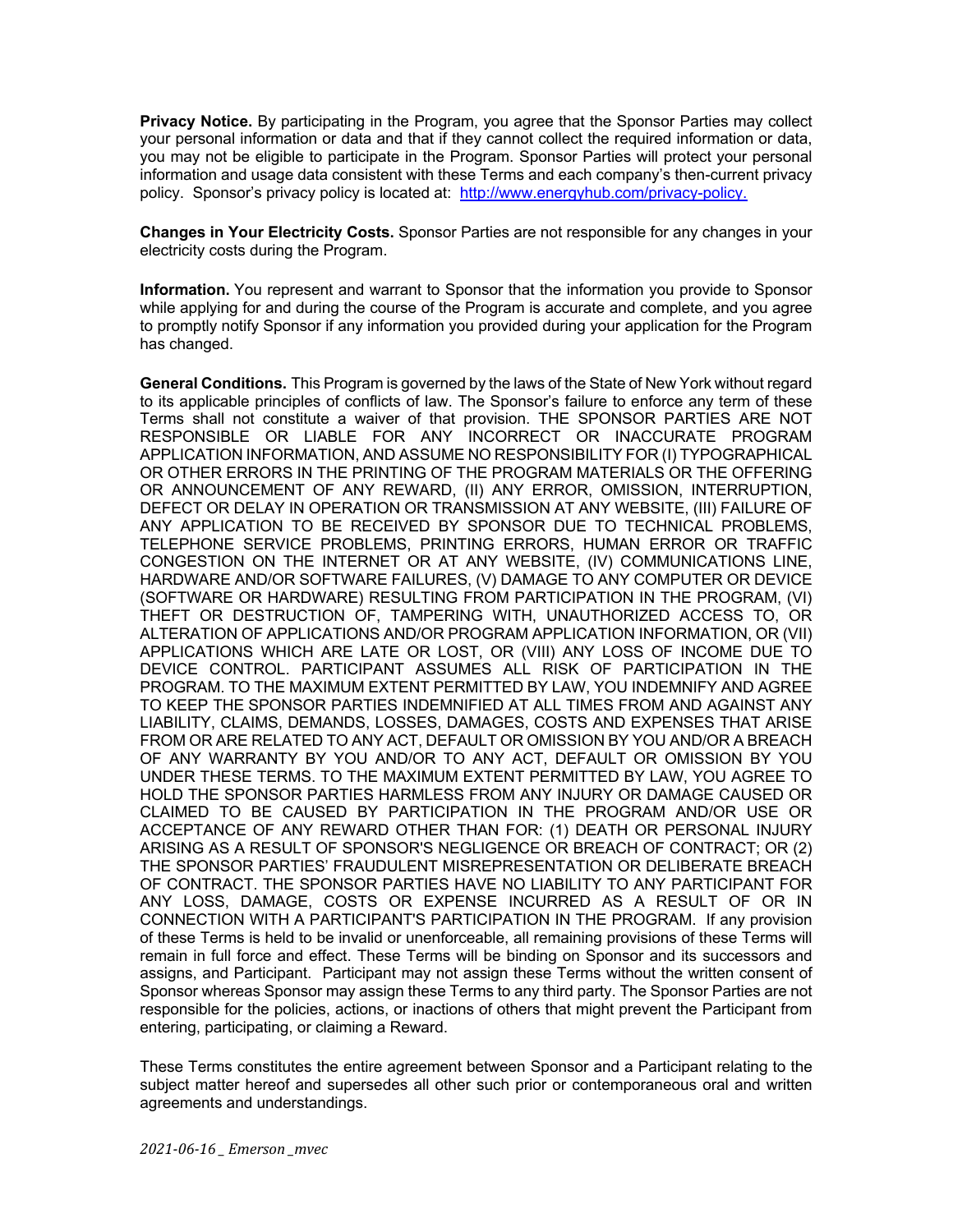**Privacy Notice.** By participating in the Program, you agree that the Sponsor Parties may collect your personal information or data and that if they cannot collect the required information or data, you may not be eligible to participate in the Program. Sponsor Parties will protect your personal information and usage data consistent with these Terms and each company's then-current privacy policy. Sponsor's privacy policy is located at: http://www.energyhub.com/privacy-policy.

**Changes in Your Electricity Costs.** Sponsor Parties are not responsible for any changes in your electricity costs during the Program.

**Information.** You represent and warrant to Sponsor that the information you provide to Sponsor while applying for and during the course of the Program is accurate and complete, and you agree to promptly notify Sponsor if any information you provided during your application for the Program has changed.

**General Conditions.** This Program is governed by the laws of the State of New York without regard to its applicable principles of conflicts of law. The Sponsor's failure to enforce any term of these Terms shall not constitute a waiver of that provision. THE SPONSOR PARTIES ARE NOT RESPONSIBLE OR LIABLE FOR ANY INCORRECT OR INACCURATE PROGRAM APPLICATION INFORMATION, AND ASSUME NO RESPONSIBILITY FOR (I) TYPOGRAPHICAL OR OTHER ERRORS IN THE PRINTING OF THE PROGRAM MATERIALS OR THE OFFERING OR ANNOUNCEMENT OF ANY REWARD, (II) ANY ERROR, OMISSION, INTERRUPTION, DEFECT OR DELAY IN OPERATION OR TRANSMISSION AT ANY WEBSITE, (III) FAILURE OF ANY APPLICATION TO BE RECEIVED BY SPONSOR DUE TO TECHNICAL PROBLEMS, TELEPHONE SERVICE PROBLEMS, PRINTING ERRORS, HUMAN ERROR OR TRAFFIC CONGESTION ON THE INTERNET OR AT ANY WEBSITE, (IV) COMMUNICATIONS LINE, HARDWARE AND/OR SOFTWARE FAILURES, (V) DAMAGE TO ANY COMPUTER OR DEVICE (SOFTWARE OR HARDWARE) RESULTING FROM PARTICIPATION IN THE PROGRAM, (VI) THEFT OR DESTRUCTION OF, TAMPERING WITH, UNAUTHORIZED ACCESS TO, OR ALTERATION OF APPLICATIONS AND/OR PROGRAM APPLICATION INFORMATION, OR (VII) APPLICATIONS WHICH ARE LATE OR LOST, OR (VIII) ANY LOSS OF INCOME DUE TO DEVICE CONTROL. PARTICIPANT ASSUMES ALL RISK OF PARTICIPATION IN THE PROGRAM. TO THE MAXIMUM EXTENT PERMITTED BY LAW, YOU INDEMNIFY AND AGREE TO KEEP THE SPONSOR PARTIES INDEMNIFIED AT ALL TIMES FROM AND AGAINST ANY LIABILITY, CLAIMS, DEMANDS, LOSSES, DAMAGES, COSTS AND EXPENSES THAT ARISE FROM OR ARE RELATED TO ANY ACT, DEFAULT OR OMISSION BY YOU AND/OR A BREACH OF ANY WARRANTY BY YOU AND/OR TO ANY ACT, DEFAULT OR OMISSION BY YOU UNDER THESE TERMS. TO THE MAXIMUM EXTENT PERMITTED BY LAW, YOU AGREE TO HOLD THE SPONSOR PARTIES HARMLESS FROM ANY INJURY OR DAMAGE CAUSED OR CLAIMED TO BE CAUSED BY PARTICIPATION IN THE PROGRAM AND/OR USE OR ACCEPTANCE OF ANY REWARD OTHER THAN FOR: (1) DEATH OR PERSONAL INJURY ARISING AS A RESULT OF SPONSOR'S NEGLIGENCE OR BREACH OF CONTRACT; OR (2) THE SPONSOR PARTIES' FRAUDULENT MISREPRESENTATION OR DELIBERATE BREACH OF CONTRACT. THE SPONSOR PARTIES HAVE NO LIABILITY TO ANY PARTICIPANT FOR ANY LOSS, DAMAGE, COSTS OR EXPENSE INCURRED AS A RESULT OF OR IN CONNECTION WITH A PARTICIPANT'S PARTICIPATION IN THE PROGRAM. If any provision of these Terms is held to be invalid or unenforceable, all remaining provisions of these Terms will remain in full force and effect. These Terms will be binding on Sponsor and its successors and assigns, and Participant. Participant may not assign these Terms without the written consent of Sponsor whereas Sponsor may assign these Terms to any third party. The Sponsor Parties are not responsible for the policies, actions, or inactions of others that might prevent the Participant from entering, participating, or claiming a Reward.

These Terms constitutes the entire agreement between Sponsor and a Participant relating to the subject matter hereof and supersedes all other such prior or contemporaneous oral and written agreements and understandings.